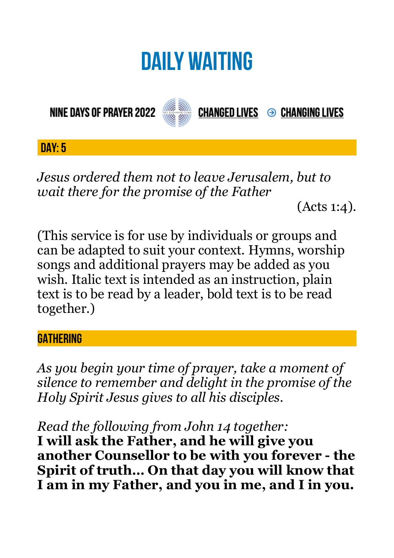# **DAILY WAITING**

**NINE DAYS OF PRAYER 2022** 



**CHANGED LIVES → CHANGING LIVES** 

## **DAY: 5**

*Jesus ordered them not to leave Jerusalem, but to wait there for the promise of the Father* 

(Acts 1:4).

(This service is for use by individuals or groups and can be adapted to suit your context. Hymns, worship songs and additional prayers may be added as you wish. Italic text is intended as an instruction, plain text is to be read by a leader, bold text is to be read together.)

### **GATHERING**

*As you begin your time of prayer, take a moment of silence to remember and delight in the promise of the Holy Spirit Jesus gives to all his disciples.*

*Read the following from John 14 together:* 

**I will ask the Father, and he will give you another Counsellor to be with you forever - the Spirit of truth… On that day you will know that I am in my Father, and you in me, and I in you.**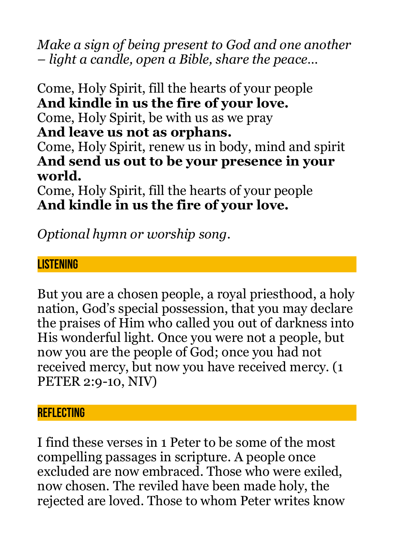*Make a sign of being present to God and one another – light a candle, open a Bible, share the peace…* 

Come, Holy Spirit, fill the hearts of your people **And kindle in us the fire of your love.**  Come, Holy Spirit, be with us as we pray **And leave us not as orphans.**  Come, Holy Spirit, renew us in body, mind and spirit **And send us out to be your presence in your world.**  Come, Holy Spirit, fill the hearts of your people

**And kindle in us the fire of your love.** 

*Optional hymn or worship song.* 

### **LISTENING**

But you are a chosen people, a royal priesthood, a holy nation, God's special possession, that you may declare the praises of Him who called you out of darkness into His wonderful light. Once you were not a people, but now you are the people of God; once you had not received mercy, but now you have received mercy. (1 PETER 2:9-10, NIV)

#### **REFLECTING**

I find these verses in 1 Peter to be some of the most compelling passages in scripture. A people once excluded are now embraced. Those who were exiled, now chosen. The reviled have been made holy, the rejected are loved. Those to whom Peter writes know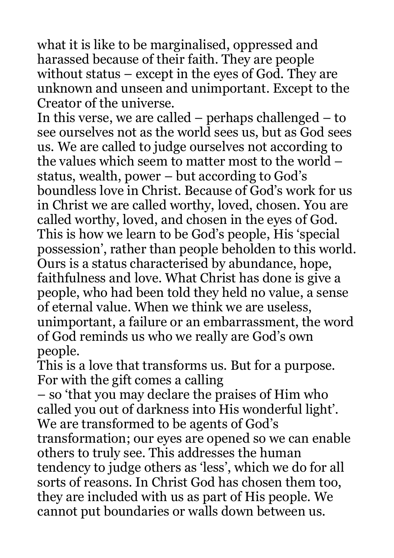what it is like to be marginalised, oppressed and harassed because of their faith. They are people without status – except in the eyes of God. They are unknown and unseen and unimportant. Except to the Creator of the universe.

In this verse, we are called – perhaps challenged – to see ourselves not as the world sees us, but as God sees us. We are called to judge ourselves not according to the values which seem to matter most to the world – status, wealth, power – but according to God's boundless love in Christ. Because of God's work for us in Christ we are called worthy, loved, chosen. You are called worthy, loved, and chosen in the eyes of God. This is how we learn to be God's people, His 'special possession', rather than people beholden to this world. Ours is a status characterised by abundance, hope, faithfulness and love. What Christ has done is give a people, who had been told they held no value, a sense of eternal value. When we think we are useless, unimportant, a failure or an embarrassment, the word of God reminds us who we really are God's own people.

This is a love that transforms us. But for a purpose. For with the gift comes a calling

– so 'that you may declare the praises of Him who called you out of darkness into His wonderful light'. We are transformed to be agents of God's transformation; our eyes are opened so we can enable others to truly see. This addresses the human tendency to judge others as 'less', which we do for all sorts of reasons. In Christ God has chosen them too, they are included with us as part of His people. We cannot put boundaries or walls down between us.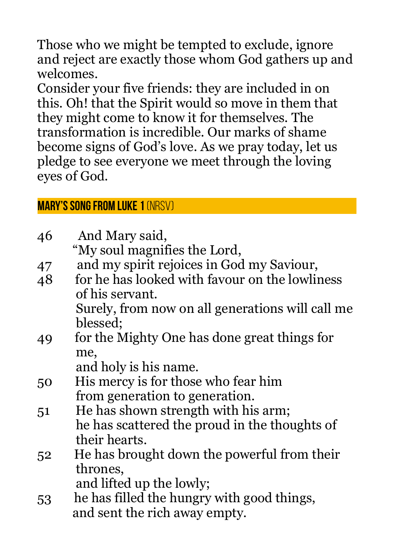Those who we might be tempted to exclude, ignore and reject are exactly those whom God gathers up and welcomes.

Consider your five friends: they are included in on this. Oh! that the Spirit would so move in them that they might come to know it for themselves. The transformation is incredible. Our marks of shame become signs of God's love. As we pray today, let us pledge to see everyone we meet through the loving eyes of God.

**Mary's Song from Luke 1** (NRSV)

| 46 | And Mary said,                                   |
|----|--------------------------------------------------|
|    | "My soul magnifies the Lord,                     |
| 47 | and my spirit rejoices in God my Saviour,        |
| 48 | for he has looked with favour on the lowliness   |
|    | of his servant.                                  |
|    | Surely, from now on all generations will call me |
|    | blessed;                                         |
| 49 | for the Mighty One has done great things for     |
|    | me,                                              |
|    | and holy is his name.                            |
| 50 | His mercy is for those who fear him              |
|    | from generation to generation.                   |
| 51 | He has shown strength with his arm;              |
|    | he has scattered the proud in the thoughts of    |
|    | their hearts.                                    |
| 52 | He has brought down the powerful from their      |
|    | thrones,                                         |
|    | and lifted up the lowly;                         |
| 53 | he has filled the hungry with good things,       |
|    | and sent the rich away empty.                    |
|    |                                                  |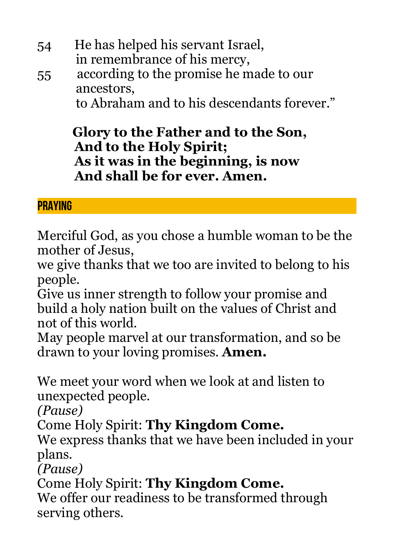- 54 He has helped his servant Israel, in remembrance of his mercy,
- 55 according to the promise he made to our ancestors,

to Abraham and to his descendants forever."

## **Glory to the Father and to the Son, And to the Holy Spirit; As it was in the beginning, is now And shall be for ever. Amen.**

## **PRAYING**

Merciful God, as you chose a humble woman to be the mother of Jesus,

we give thanks that we too are invited to belong to his people.

Give us inner strength to follow your promise and build a holy nation built on the values of Christ and not of this world.

May people marvel at our transformation, and so be drawn to your loving promises. **Amen.**

We meet your word when we look at and listen to unexpected people.

*(Pause)*

Come Holy Spirit: **Thy Kingdom Come.**

We express thanks that we have been included in your plans.

*(Pause)*

Come Holy Spirit: **Thy Kingdom Come.**

We offer our readiness to be transformed through serving others.